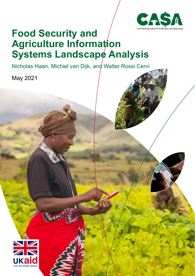

# **Food Security and Agriculture Information Systems Landscape Analysis**

Nicholas Haan, Michiel van Dijk, and Walter Rossi Cervi

May 2021

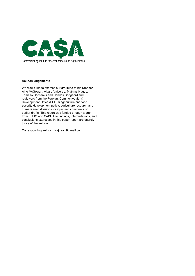

#### **Acknowledgements**

We would like to express our gratitude to Iris Krebber, Aine McGowan, Alvaro Valverde, Mathias Hague, Tomaso Ceccarelli and Hendrik Boogaard and reviewers from the Foreign, Commonwealth & Development Office (FCDO) agriculture and food security development policy, agriculture research and humanitarian divisions for input and comments on earlier drafts. This report was funded through a grant from FCDO and CABI. The findings, interpretations, and conclusions expressed in this paper report are entirely those of the authors.

Corresponding author: nickjhaan@gmail.com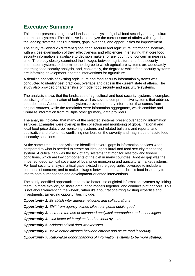# <span id="page-2-0"></span>**Executive Summary**

This report presents a high-level landscape analysis of global food security and agriculture information systems. The objective is to analyze the current state of affairs with regards to the leading systems, their functions, gaps, overlaps, and opportunities for improvement.

The study reviewed 26 different global food security and agriculture information systems, with a close examination of their effectiveness and efficiencies in ensuring that core food security information is available to decision makers for any country of concern in near real time. The study closely examined the linkages between agriculture and food security information systems to determine the degree to which agriculture systems are adequately informing food security analysis, and, conversely, the degree to which food security systems are informing development-oriented interventions for agriculture.

A detailed analysis of existing agriculture and food security information systems was conducted to identify best practices, overlaps and gaps in the current state of affairs. The study also provided characteristics of model food security and agriculture systems.

The analysis shows that the landscape of agricultural and food security systems is complex, consisting of a combination of both as well as several comprehensive systems that address both domains. About half of the systems provided primary information that comes from original sources, while the remainder were information aggregators, which combine and visualize information from multiple other (primary) data providers.

The analysis indicated that many of the selected systems present overlapping information services. Examples were overlap in the collection and monitoring of global, national and local food price data, crop monitoring systems and related bulletins and reports, and duplicative and oftentimes conflicting numbers on the severity and magnitude of acute food insecurity situations.

At the same time, the analysis also identified several gaps in information services when compared to what is needed to create an ideal agricultural and food security monitoring system. A critical gap was the lack of any systems that monitor livestock and fishery conditions, which are key components of the diet in many countries. Another gap was the imperfect geographical coverage of local price monitoring and agricultural market systems. For food security analysis critical gaps existed in the geographic coverage to include all countries of concern; and to make linkages between acute and chronic food insecurity to inform both humanitarian and development-oriented interventions.

The study identified opportunities to make better use of global information systems by linking them up more explicitly to share data, bring models together, and conduct joint analysis. This is not about 'reinventing the wheel', rather it's about rationalizing existing expertise and investments. Emerging opportunities include:

*Opportunity 1: Establish inter agency networks and collaborations*

*Opportunity 2: Shift from agency-owned silos to a global public good*

*Opportunity 3: Increase the use of advanced analytical approaches and technologies*

*Opportunity 4: Link better with regional and national systems* 

*Opportunity 5: Address critical data weaknesses*

*Opportunity 6: Make better linkages between chronic and acute food insecurity*

*Opportunity 7: Rationalize donor financing of information systems to be more strategic*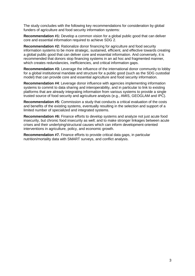The study concludes with the following key recommendations for consideration by global funders of agriculture and food security information systems:

**Recommendation #1:** Develop a common vision for a global public good that can deliver core and essential information required to achieve SDG 2.

**Recommendation #2:** Rationalize donor financing for agriculture and food security information systems to be more strategic, sustained, efficient, and effective towards creating a global public good that can deliver core and essential information. And conversely, it is recommended that donors stop financing systems in an ad hoc and fragmented manner, which creates redundancies, inefficiencies, and critical information gaps.

**Recommendation #3:** Leverage the influence of the international donor community to lobby for a global institutional mandate and structure for a public good (such as the SDG custodial model) that can provide core and essential agriculture and food security information.

**Recommendation #4**: Leverage donor influence with agencies implementing information systems to commit to data sharing and interoperability, and in particular to link to existing platforms that are already integrating information from various systems to provide a single trusted source of food security and agriculture analysis (e.g., AMIS, GEOGLAM and IPC).

**Recommendation #5:** Commission a study that conducts a critical evaluation of the costs and benefits of the existing systems, eventually resulting in the selection and support of a limited number of specialized and integrated systems.

**Recommendation #6:** Finance efforts to develop systems and analyze not just acute food insecurity, but chronic food insecurity as well; and to make stronger linkages between acute crises and their underlying/structural causes which can inform development-oriented interventions in agriculture, policy, and economic growth.

**Recommendation #7.** Finance efforts to provide critical data gaps, in particular nutrition/mortality data with SMART surveys, and conflict analysis.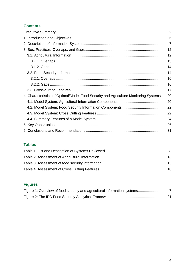### **Contents**

| 4. Characteristics of Optimal/Model Food Security and Agriculture Monitoring Systems  20 |  |
|------------------------------------------------------------------------------------------|--|
|                                                                                          |  |
|                                                                                          |  |
|                                                                                          |  |
|                                                                                          |  |
|                                                                                          |  |
|                                                                                          |  |

### **Tables**

# **Figures**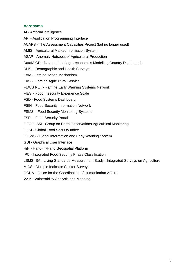### **Acronyms**

- AI Artificial intelligence
- API Application Programming Interface
- ACAPS The Assessment Capacities Project (but no longer used)
- AMIS Agricultural Market Information System
- ASAP Anomaly Hotspots of Agricultural Production
- DataM-CD Data portal of agro-economics Modelling Country Dashboards
- DHS Demographic and Health Surveys
- FAM Famine Action Mechanism
- FAS Foreign Agricultural Service
- FEWS NET Famine Early Warning Systems Network
- FIES Food Insecurity Experience Scale
- FSD Food Systems Dashboard
- FSIN Food Security Information Network
- FSMS Food Security Monitoring Systems
- FSP Food Security Portal
- GEOGLAM Group on Earth Observations Agricultural Monitoring
- GFSI Global Food Security Index
- GIEWS Global Information and Early Warning System
- GUI Graphical User Interface
- HiH Hand-In-Hand Geospatial Platform
- IPC Integrated Food Security Phase Classification
- LSMS-ISA Living Standards Measurement Study Integrated Surveys on Agriculture
- MICS Multiple Indicator Cluster Surveys
- OCHA Office for the Coordination of Humanitarian Affairs
- VAM Vulnerability Analysis and Mapping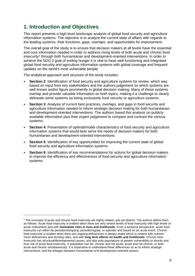# <span id="page-6-0"></span>**1. Introduction and Objectives**

-

This report presents a high-level landscape analysis of global food security and agriculture information systems. The objective is to analyze the current state of affairs with regards to the leading systems, their functions, gaps, overlaps, and opportunities for improvement.

The overall goal of the study is to ensure that decision makers at all levels have the essential and core information needed in order to address rising levels of both acute and chronic food insecurity<sup>1</sup> through both humanitarian and development-oriented interventions. In order to achieve the SDG 2 goal of ending hunger it is vital to have well-functioning and integrated global food security and agriculture information systems with global coverage and frequent updates on the world's most vulnerable people.

The analytical approach and structure of the study includes:

- **Section 2:** Identification of food security and agriculture systems for review, which was based on input from key stakeholders and the authors judgement on which systems are well known and/or figure prominently in global decision making. Many of these systems overlap and provide valuable information on both topics, making it a challenge to clearly delineate some systems as being exclusively food security or agriculture systems.
- **Section 3:** Analysis of current best practices, overlaps, and gaps in food security and agriculture information needed to inform strategic decision making for both humanitarian and development-oriented interventions. The authors based this analysis on publicly available information plus their expert judgement to compare and contrast the various systems.
- **Section 4:** Presentation of optimal/model characteristics of food security and agriculture information systems that would best serve the needs of decision makers for both humanitarian and development-oriented interventions.
- **Section 5**: Identification of key opportunities for improving the current state of global food security and agriculture information systems.
- **Section 6**: Identification of key recommendations for actions for global decision makers to improve the efficiency and effectiveness of food security and agriculture information systems.

<sup>1</sup> The concepts of acute and chronic food insecurity are highly related, and yet distinct. The authors define them as follows: Acute food insecurity is evident when there are very severe levels of food insecurity with high levels of acute malnutrition and with **immediate risks to lives and livelihoods**. From a temporal perspective, acute food insecurity can either be persistent/ongoing, periodic/regular, or episodic and based on an acute event. Chronic food insecurity is evident when there are ongoing deficiencies in dietary intake which is evident with nutrient micro deficiencies and stunting rates, and with **long term effects on health and livelihoods**. Chronic food insecurity has structural/developmental causes, and also puts populations at greater vulnerability to shocks and thus risk of acute food insecurity. A population can be: chronic and not acute; acute and not chronic; or both acute and chronic simultaneously. It is imperative to understand these differences so as to inform strategic interventions, and the linkages between humanitarian and development-oriented actions.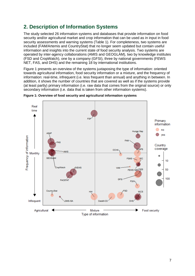# <span id="page-7-0"></span>**2. Description of Information Systems**

The study selected 26 information systems and databases that provide information on food security and/or agricultural market and crop information that can be used as in input in food security assessments and warning systems (Table 1). For completeness, two systems are included (FAM/Artemis and CountryStat) that no longer seem updated but contain useful information and insights into the current state of food security analysis. Two systems are operated by inter-agency collaborations (AMIS and GEOGLAM), two by knowledge institutes (FSD and CropWatch), one by a company (GFSI), three by national governments (FEWS NET, FAS, and DHS) and the remaining 18 by international institutions.

[Figure 1](#page-7-1) presents an overview of the systems juxtaposing the type of information: oriented towards agricultural information, food security information or a mixture, and the frequency of information: real-time, infrequent (i.e. less frequent than annual) and anything in between. In addition, it shows the number of countries that are covered as well as if the systems provide (at least partly) primary information (i.e. raw data that comes from the original source) or only secondary information (i.e. data that is taken from other information systems).



<span id="page-7-1"></span>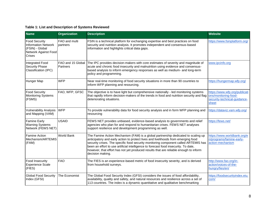### **Table 1: List and Description of Systems Reviewed**

<span id="page-8-0"></span>

| <b>Name</b>                                                                                                    | <b>Organization</b>           | <b>Description</b>                                                                                                                                                                                                                                                                                                                                                                                                                                               | <b>Website</b>                                                                                 |
|----------------------------------------------------------------------------------------------------------------|-------------------------------|------------------------------------------------------------------------------------------------------------------------------------------------------------------------------------------------------------------------------------------------------------------------------------------------------------------------------------------------------------------------------------------------------------------------------------------------------------------|------------------------------------------------------------------------------------------------|
| <b>Food Security</b><br><b>Information Network</b><br>(FSIN) - Global<br>Network Against Food<br><b>Crises</b> | FAO and multi<br>partners     | FSIN is a technical platform for exchanging expertise and best practices on food<br>security and nutrition analysis. It promotes independent and consensus-based<br>information and highlights critical data gaps.                                                                                                                                                                                                                                               | https://www.fsinplatform.org/                                                                  |
| <b>Integrated Food</b><br><b>Security Phase</b><br>Classification (IPC)                                        | FAO and 15 Global<br>Partners | The IPC provides decision-makers with core estimates of severity and magnitude of<br>acute and chronic food insecurity and malnutrition using evidence and consensus-<br>based analysis to inform emergency responses as well as medium- and long-term<br>policy and programming.                                                                                                                                                                                | www.ipcinfo.org                                                                                |
| Hunger Map                                                                                                     | <b>WFP</b>                    | Near real-time monitoring of food security situations in more than 90 countries to<br>inform WFP planning and resourcing.                                                                                                                                                                                                                                                                                                                                        | https://hungermap.wfp.org/                                                                     |
| <b>Food Security</b><br><b>Monitoring Systems</b><br>(FSMS)                                                    | FAO, WFP, GFSC                | The objective is to have light but comprehensive nationally - led monitoring systems<br>that rapidly inform decision-makers of the trends in food and nutrition security and flag<br>deteriorating situations.                                                                                                                                                                                                                                                   | https://www.wfp.org/publicati<br>ons/monitoring-food-<br>security-technical-guidance-<br>sheet |
| <b>Vulnerability Analysis</b><br>and Mapping (VAM)                                                             | <b>WFP</b>                    | To provide vulnerability data for food security analysis and in form WFP planning and<br>resourcing                                                                                                                                                                                                                                                                                                                                                              | https://dataviz.vam.wfp.org/                                                                   |
| <b>Famine Early</b><br><b>Warning Systems</b><br>Network (FEWS NET)                                            | <b>USAID</b>                  | FEWS NET provides unbiased, evidence-based analysis to governments and relief<br>agencies who plan for and respond to humanitarian crises. FEWS NET analyses<br>support resilience and development programming as well.                                                                                                                                                                                                                                          | https://fews.net/                                                                              |
| <b>Famine Action</b><br>Mechanism/ARTEMIS<br>(FAM)                                                             | <b>World Bank</b>             | The Famine Action Mechanism (FAM) is a global partnership dedicated to scaling up<br>anticipatory and early action to protect lives and livelihoods from emerging food<br>security crises. The specific food security monitoring component called ARTEMIS has<br>been an effort to use artificial intelligence to forecast food insecurity. To date,<br>however, that effort has not yet produced results that are reliable enough to inform<br>decision making. | https://www.worldbank.org/e<br>n/programs/famine-early-<br>action-mechanism                    |
| Food Insecurity<br><b>Experience Scale</b><br>(FIES)                                                           | <b>FAO</b>                    | The FIES is an experience-based metric of food insecurity severity, and is derived<br>from household surveys.                                                                                                                                                                                                                                                                                                                                                    | http://www.fao.org/in-<br>action/voices-of-the-<br>hungry/fies/en/                             |
| <b>Global Food Security</b><br>Index (GFSI)                                                                    | The Economist                 | The Global Food Security Index (GFSI) considers the issues of food affordability,<br>availability, quality and safety, and natural resources and resilience across a set of<br>113 countries. The index is a dynamic quantitative and qualitative benchmarking                                                                                                                                                                                                   | https://foodsecurityindex.eiu.<br>com/                                                         |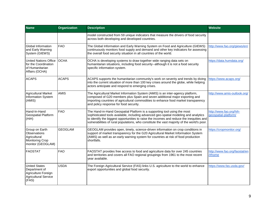| <b>Name</b>                                                                                          | <b>Organization</b> | <b>Description</b>                                                                                                                                                                                                                                                                                                                                          | <b>Website</b>                                  |
|------------------------------------------------------------------------------------------------------|---------------------|-------------------------------------------------------------------------------------------------------------------------------------------------------------------------------------------------------------------------------------------------------------------------------------------------------------------------------------------------------------|-------------------------------------------------|
|                                                                                                      |                     | model constructed from 59 unique indicators that measure the drivers of food security<br>across both developing and developed countries.                                                                                                                                                                                                                    |                                                 |
| Global Information<br>and Early Warning<br>System (GIEWS)                                            | <b>FAO</b>          | The Global Information and Early Warning System on Food and Agriculture (GIEWS)<br>continuously monitors food supply and demand and other key indicators for assessing<br>the overall food security situation in all countries of the world.                                                                                                                | http://www.fao.org/giews/en/                    |
| <b>United Nations Office</b><br>for the Coordination<br>of Humanitarian<br>Affairs (OCHA)            | <b>OCHA</b>         | OCHA is developing systems to draw together wide ranging data sets on<br>humanitarian situations, including food security--although it is not a food security<br>specific information system.                                                                                                                                                               | https://data.humdata.org/                       |
| <b>ACAPS</b>                                                                                         | <b>ACAPS</b>        | ACAPS supports the humanitarian community's work on severity and trends by diving<br>into the current situation of more than 100 key crises around the globe, while helping<br>actors anticipate and respond to emerging crises.                                                                                                                            | https://www.acaps.org/                          |
| <b>Agricultural Market</b><br>Information System<br>(AMIS)                                           | <b>AMIS</b>         | The Agricultural Market Information System (AMIS) is an inter-agency platform,<br>composed of G20 members plus Spain and seven additional major exporting and<br>importing countries of agricultural commodities to enhance food market transparency<br>and policy response for food security.                                                              | http://www.amis-outlook.org/                    |
| Hand-In-Hand<br>Geospatial Platform<br>(HiH)                                                         | <b>FAO</b>          | The Hand-in-Hand Geospatial Platform is a supporting tool using the most<br>sophisticated tools available, including advanced geo-spatial modeling and analytics<br>to identify the biggest opportunities to raise the incomes and reduce the inequities and<br>vulnerabilities of rural populations, who constitute the vast majority of the world's poor. | http://www.fao.org/hih-<br>geospatial-platform/ |
| Group on Earth<br>Observations<br>Agricultural<br><b>Monitoring Crop</b><br>monitor (GEOGLAM)        | <b>GEOGLAM</b>      | GEOGLAM provides open, timely, science-driven information on crop conditions in<br>support of market transparency for the G20 Agricultural Market Information System<br>(AMIS) as well as an early warning system for countries at risk of food production<br>shortfalls.                                                                                   | https://cropmonitor.org/                        |
| <b>FAOSTAT</b>                                                                                       | <b>FAO</b>          | FAOSTAT provides free access to food and agriculture data for over 245 countries<br>and territories and covers all FAO regional groupings from 1961 to the most recent<br>year available.                                                                                                                                                                   | http://www.fao.org/faostat/en<br>/#home         |
| <b>United States</b><br>Department of<br>Agriculture Foreign<br><b>Agricultural Service</b><br>(FAS) | <b>USDA</b>         | The Foreign Agricultural Service (FAS) links U.S. agriculture to the world to enhance<br>export opportunities and global food security.                                                                                                                                                                                                                     | https://www.fas.usda.gov/                       |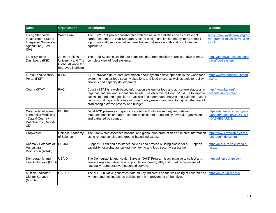| <b>Name</b>                                                                                    | <b>Organization</b>                                                                     | <b>Description</b>                                                                                                                                                                                                                                                                                                                                                                                          | <b>Website</b>                                                          |
|------------------------------------------------------------------------------------------------|-----------------------------------------------------------------------------------------|-------------------------------------------------------------------------------------------------------------------------------------------------------------------------------------------------------------------------------------------------------------------------------------------------------------------------------------------------------------------------------------------------------------|-------------------------------------------------------------------------|
| Living Standards<br>Measurement Study -<br>Integrated Surveys on<br>Agriculture (LSMS-<br>ISA) | World Bank                                                                              | The LSMS-ISA project collaborates with the national statistics offices of its eight<br>partner countries in Sub-Saharan Africa to design and implement systems of multi-<br>topic, nationally representative panel household surveys with a strong focus on<br>agriculture.                                                                                                                                 | https://www.worldbank.org/en<br>/programs/lsms/initiatives/lsm<br>s-ISA |
| <b>Food Systems</b><br>Dashboard (FSD)                                                         | Johns Hopkins<br>University and The<br>Global Alliance for<br><b>Improved Nutrition</b> | The Food Systems Dashboard combines data from multiple sources to give users a<br>complete view of food systems.                                                                                                                                                                                                                                                                                            | https://foodsystemsdashboar<br>d.org/food-system                        |
| <b>IFPRI Food Security</b><br>Portal (FSP)                                                     | <b>IFPRI</b>                                                                            | IFPRI provides up-to-date information about dynamic developments in the world food<br>system to monitor food security situations and food prices, as well as tools for policy<br>analysis and capacity development.                                                                                                                                                                                         | https://www.foodsecurityport<br>al.org/                                 |
| CountrySTAT                                                                                    | <b>FAO</b>                                                                              | CountrySTAT is a web-based information system for food and agriculture statistics at<br>regional, national and subnational levels. The objective of CountrySTAT is to improve<br>access to food and agricultural statistics to support data analysis and evidence-based<br>decision making and facilitate informed policy making and monitoring with the goal of<br>eradicating extreme poverty and hunger. | http://www.fao.org/in-<br>action/countrystat/en/                        |
| Data portal of agro-<br>economics Modelling<br>- DataM Country<br>Dashboards (DataM-<br>CD)    | <b>EU JRC</b>                                                                           | DataM-CD presents infographics about food/nutrition security and relevant<br>macroeconomics and agro-economics indicators produced by several organizations<br>and gathered by country.                                                                                                                                                                                                                     | https://datam.jrc.ec.europa.e<br>u/datam/mashup/COUNTRY<br>DASHBOARDS/  |
| CropWatch                                                                                      | Chinese Academy<br>of Science                                                           | The CropWatch assesses national and global crop production and related information<br>using remote sensing and ground-based indicators.                                                                                                                                                                                                                                                                     | http://www.cropwatch.com.c<br>n/htm/en/index.shtml                      |
| Anomaly Hotspots of<br>Agricultural<br>Production (ASAP)                                       | <b>EU JRC</b>                                                                           | Support EU aid and assistance policies and provide building blocks for a European<br>capability for global agricultural monitoring and food security assessment.                                                                                                                                                                                                                                            | https://mars.jrc.ec.europa.eu<br>/asap/                                 |
| Demographic and<br>Health Surveys (DHS)                                                        | <b>USAID</b>                                                                            | The Demographic and Health Surveys (DHS) Program is an initiative to collect and<br>analyze representative data on population, health, HIV, and nutrition by means of<br>nationally representative household surveys.                                                                                                                                                                                       | https://dhsprogram.com/                                                 |
| Multiple Indicator<br><b>Cluster Surveys</b><br>(MICS)                                         | <b>UNICEF</b>                                                                           | The MICS initiative generates data on key indicators on the well-being of children and<br>women, and helping shape policies for the improvement of their lives                                                                                                                                                                                                                                              | https://mics.unicef.org/                                                |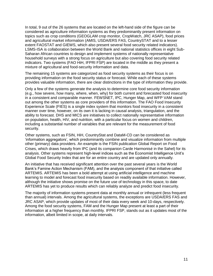In total, 9 out of the 26 systems that are located on the left-hand side of the figure can be considered as agriculture information systems as they predominantly present information on topics such as crop conditions (GEOGLAM crop monitor, CropWatch, JRC ASAP), food prices and agricultural market information (AMIS, USDA/ERS FAS, CountrySTAT and to a lesser extent FAOSTAT and GIEWS, which also present several food security related indicators). LSMS-ISA is collaboration between the World Bank and national statistics offices in eight Sub-Saharan African countries to design and implement systems of nationally representative household surveys with a strong focus on agriculture but also covering food security related indicators. Two systems (FAO HiH, IFPRI FSP) are located in the middle as they present a mixture of agricultural and food-security information and data.

The remaining 15 systems are categorized as food security systems as their focus is on providing information on the food security status or forecast. While each of these systems provides valuable information, there are clear distinctions in the type of information they provide.

Only a few of the systems generate the analysis to determine core food security information (e.g., how severe, how many, where, when, why) for both current and forecasted food insecurity in a consistent and comparable manner. FEWSNET, IPC, Hunger Map, and WFP VAM stand out among the other systems as core providers of this information. The FAO Food Insecurity Experience Scale (FIES) is a single index system that monitors food insecurity in a consistent manner over time, however, on its own it is lacking in causal analysis, triangulation, and the ability to forecast. DHS and MICS are initiatives to collect nationally representative information on population, health, HIV, and nutrition, with a particular focus on women and children, including a substantial number of variables that are relevant for the measurement of food security.

Other systems, such as FSIN, HiH, CountryStat and DataM-CD can be considered as 'information aggregators', which predominantly combine and visualize information from multiple other (primary) data providers. An example is the FSIN publication Global Report on Food Crises, which draws heavily from IPC (and its companion Carde Harmonisé in the Sahel) for its analysis. Other systems represent high-level indices such as the Economist Intelligence Unit's Global Food Security Index that are for an entire country and are updated only annually.

An initiative that has received significant attention over the past several years is the World Bank's Famine Action Mechanism (FAM), and the analysis component of that initiative called ARTEMIS. ARTEMIS has been a bold attempt at using artificial intelligence and machine learning to model and forecast food insecurity based on readily available information. However, although the initiative shows promise on the future use of technology in this space, to date ARTEMIS has yet to produce results which can reliably analyze and predict food insecurity.

The majority of information systems present data at monthly annual or infrequent (less frequent than annual) intervals. Among the agricultural systems, the exceptions are USDA/ERS FAS and JRC ASAP, which provide updates of most of their data every week and 10-days, respectively. Among the food security systems, FAM and the Hunger Map present at least a part of their information at a higher frequency than monthly. IFPRI FSP, stands out as it updates most of the information, albeit limited in scope, at daily intervals.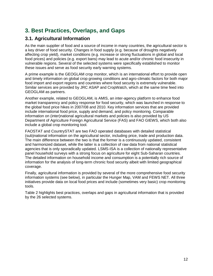# **3. Best Practices, Overlaps, and Gaps**

### **3.1. Agricultural Information**

<span id="page-12-1"></span><span id="page-12-0"></span>As the main supplier of food and a source of income in many countries, the agricultural sector is a key driver of food security. Changes in food supply (e.g. because of droughts negatively affecting crop yield), market conditions (e.g. increase or strong fluctuations in global and local food prices) and policies (e.g. export bans) may lead to acute and/or chronic food insecurity in vulnerable regions. Several of the selected systems were specifically established to monitor these issues and serve as food security early warning systems.

A prime example is the GEOGLAM crop monitor, which is an international effort to provide open and timely information on global crop growing conditions and agro-climatic factors for both major food import and export regions and countries where food security is extremely vulnerable. Similar services are provided by JRC ASAP and CropWatch, which at the same time feed into GEOGLAM as partners.

Another example, related to GEOGLAM, is AMIS, an inter-agency platform to enhance food market transparency and policy response for food security, which was launched in response to the global food price hikes in 2007/08 and 2010. Key information services that are provided include international food price, supply and demand, and policy monitoring. Comparable information on (inter)national agricultural markets and policies is also provided by US Department of Agriculture Foreign Agricultural Service (FAS) and FAO GIEWS, which both also include a global crop monitoring tool.

FAOSTAT and CountrySTAT are two FAO operated databases with detailed statistical (sub)national information on the agricultural sector, including price, trade and production data. The main difference between the two is that the former is a continuously updated, consistent and harmonized dataset, while the latter is a collection of raw data from national statistical agencies that is only sporadically updated. LSMS-ISA is a collection of nationally representative panel household surveys with a strong focus on agriculture for eight Sub-Saharan countries. The detailed information on household income and consumption is a potentially rich source of information for the analysis of long-term chronic food security albeit with limited geographical coverage.

Finally, agricultural information is provided by several of the more comprehensive food security information systems (see below), in particular the Hunger Map, VAM and FEWS NET. All three initiatives provide data on local food prices and include (sometimes very basic) crop monitoring tools.

[Table 2](#page-13-2) highlights best practices, overlaps and gaps in agricultural information that is provided by the 26 selected systems.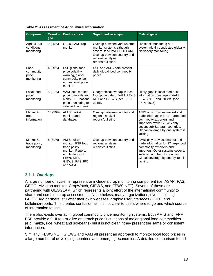<span id="page-13-2"></span>

<span id="page-13-1"></span>

| <b>Component</b>                         | <b>Count n</b><br>(%) | <b>Best practice</b>                                                                                                                        | <b>Significant overlaps</b>                                                                                                                                      | <b>Critical gaps</b>                                                                                                                                                                                                 |
|------------------------------------------|-----------------------|---------------------------------------------------------------------------------------------------------------------------------------------|------------------------------------------------------------------------------------------------------------------------------------------------------------------|----------------------------------------------------------------------------------------------------------------------------------------------------------------------------------------------------------------------|
| Agricultural<br>conditions<br>monitoring | 9(35%)                | <b>GEOGLAM</b> crop<br>monitor.                                                                                                             | Overlap between various crop<br>monitor systems although<br>several feed into GEOGLAM;<br>Overlap between country and<br>regional analysis<br>reports/bulletins. | Livestock monitoring not<br>systematically conducted globally;<br>No fishery monitoring.                                                                                                                             |
| Food<br>commodity<br>price<br>monitoring | 4 (20%)               | FSP global food<br>price volatility<br>warning, global<br>commodity price<br>and national price<br>monitor.                                 | FSP and AMIS both present<br>daily global food commodity<br>prices.                                                                                              |                                                                                                                                                                                                                      |
| Local food<br>price<br>monitoring        | 8 (31%)               | VAM local market<br>price forecasts and<br>alerts; FSP national<br>price monitoring for<br>selected countries.                              | Geographical overlap in local<br>food price data of VAM, FEWS<br>NET and GIEWS (see FSIN,<br>$2015$ ).                                                           | Likely gaps in local food price<br>information coverage in VAM,<br>FEWS NET and GIEWS (see<br>FSIN, 2015).                                                                                                           |
| Market &<br>trade<br>information         | 13 (50%)              | <b>AMIS market</b><br>monitor and<br>database.                                                                                              | Overlap between country and<br>regional analysis<br>reports/bulletins                                                                                            | AMIS only provides market and<br>trade information for 27 large food<br>commodity exporters and<br>importers, while GIEWS only<br>covers sub-Saharan countries.<br>Global coverage by one system is<br>lacking.      |
| Market &<br>trade policy<br>monitoring   | 8 (31%)               | <b>AMIS policy</b><br>monitor; FSP food<br>trade policy<br>monitor; Reports<br>and bulletins of<br>FEWS NET,<br>GIEWS, FAS, IPC<br>and VAM. | Overlap between country and<br>regional analysis<br>reports/bulletins.                                                                                           | AMIS only provides market and<br>trade information for 27 large food<br>commodity exporters and<br>importers. Other systems cover a<br>selected number of countries.<br>Global coverage by one system is<br>lacking. |

### **3.1.1. Overlaps**

<span id="page-13-0"></span>A large number of systems represent or include a crop monitoring component (i.e. ASAP, FAS, GEOGLAM crop monitor, CropWatch, GIEWS, and FEWS NET). Several of these are partnering with GEOGLAM, which represents a joint effort of the international community to share and combine crop assessments. Nonetheless, many organizations, even including GEOGLAM partners, still offer their own websites, graphic user interfaces (GUIs), and bulletins/reports. This creates confusion as it is not clear to users where to go and which source of information to use.

There also exists overlap in global commodity price monitoring systems. Both AMIS and IFPRI FSP provide a GUI to visualize and track price fluctuations of major global food commodities (e.g. maize, rice, wheat and soybeans) but it is not clear if they present the same or consistent information.

Similarly, FEWS NET, GIEWS and VAM all present an approach to monitor local food prices in a large number of developing countries and emerging economies. A detailed comparison found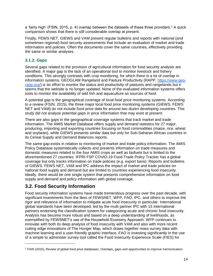a 'fairly high' (FSIN, 2015, p. 4) overlap between the datasets of these three providers.<sup>2</sup> A quick comparison shows that there is still considerable overlap at present.

Finally, FEWS NET, GIEWS and VAM present regular bulletins and reports with national (and sometimes regional) food security assessments that include an evaluation of market and trade information and policies. Often the documents cover the same countries, effectively providing the same or similar analyses.

### **3.1.2. Gaps**

<span id="page-14-0"></span>Several gaps related to the provision of agricultural information for food security analysis are identified. A major gap is the lack of an operational tool to monitor livestock and fishery conditions. This strongly contrasts with crop monitoring, for which there is a lot of overlap in information systems. GEOGLAM Rangeland and Pasture Productivity (RAPP, [https://www.geo](https://www.geo-rapp.org/)[rapp.org/\)](https://www.geo-rapp.org/) is an effort to monitor the status and productivity of pastures and rangelands but it seems that the website is no longer updated. None of the evaluated information systems offers tools to monitor the availability of wild fish and aquaculture as sources of food.

A potential gap is the geographical coverage of local food price monitoring systems. According to a review (FSIN, 2015), the three major local food price monitoring systems (GIEWS, FEWS NET and VAM) do not include food price data for around two dozen developing countries. This study did not analyze potential gaps in price information that may exist at present.

There are also gaps in the geographical coverage systems that track market and trade information. The AMIS Market Database offers supply and demand statistics for 27 major, producing, importing and exporting countries focusing on food commodities (maize, rice, wheat and soybean), while GIEWS presents similar data but only for Sub-Saharan African countries in its Cereal Supply and Demand Balances reports.

The same gap exists in relation to monitoring of market and trade policy information. The AMIS Policy Database systematically collects and presents information on trade measures and domestic measures related to the four AMIS crops as well as biofuels but is limited to the aforementioned 27 countries. IFPRI FSP COVID-19 Food Trade Policy Tracker has a global coverage but only tracks information on trade policies (e.g. export bans). Reports and bulletins of GIEWS, FEWS NET, VAM and IPC address the impact of market and trade policies on national food supply and demand but are limited to countries experiencing food insecurity. Ideally, there would be one single system that presents comprehensive information on food supply and demand and policy information with global coverage.

# **3.2. Food Security Information**

<span id="page-14-1"></span>Food security information systems have made tremendous progress over the past decade, with significant investments from the likes of FEWSNET, WFP, FAO, IPC, and others to improve the rigor and relevance of information to mitigate acute food insecurity in particular. International global standards have been developed, led by the multi partner IPC with 15 international partners endorsing the classification system for categorizing acute and chronic food insecurity. Analysis has become more robust and based on a deep understanding of livelihoods, as exemplified by FEWSNET's use of the Household Economy Approach. WFP continues to innovate with both its deep analysis of food insecurity with VAM and also with more recent cutting edge innovations of The Hunger Map, which draws together mass survey data with machine learning and a user-friendly graphic interface. FAO is investing significantly in the use of a simple to administer survey tool called the Food Insecurity Experience Scale (FIES) for

<sup>2</sup> FSIN (2015), Review of global food price databases: Overlaps, gaps and opportunities to improve harmonization.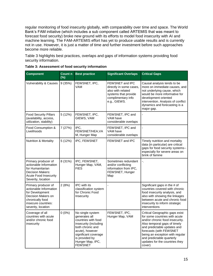regular monitoring of food insecurity globally, with comparability over time and space. The World Bank's FAM initiative (which includes a sub component called ARTEMIS that was meant to forecast food security) broke new ground with its efforts to model food insecurity with AI and machine learning. The FAM-ARTEMIS effort has yet to produce usable results and is currently not in use. However, it is just a matter of time and further investment before such approaches become more reliable.

Table 3 highlights best practices, overlaps and gaps of information systems providing food security information.

<span id="page-15-0"></span>

| <b>Component</b>                                                                                                                                        | <b>Count n</b><br>$(\%)$ | <b>Best practice</b>                                                                                                                                                                                     | <b>Significant Overlaps</b>                                                                                                   | <b>Critical Gaps</b>                                                                                                                                                                                                                                                                                     |
|---------------------------------------------------------------------------------------------------------------------------------------------------------|--------------------------|----------------------------------------------------------------------------------------------------------------------------------------------------------------------------------------------------------|-------------------------------------------------------------------------------------------------------------------------------|----------------------------------------------------------------------------------------------------------------------------------------------------------------------------------------------------------------------------------------------------------------------------------------------------------|
| <b>Vulnerability &amp; Causes</b>                                                                                                                       | 9(35%)                   | FEWSNET, IPC,<br>VAM                                                                                                                                                                                     | FEWSNET and IPC<br>directly in some cases,<br>also with related<br>systems that provide<br>complimentary info<br>e.g., GIEWS. | Causal analysis tends to be<br>more on immediate causes, and<br>not underlying cause, which<br>would be more informative for<br>development oriented<br>intervention. Analysis of conflict<br>dynamics and forecasting is a<br>major gap.                                                                |
| <b>Food Security Pillars</b><br>(availability, access,<br>utilization, stability)                                                                       | 5 (12%)                  | FEWSNET, IPC,<br>GIEWS, VAM                                                                                                                                                                              | FEWSNET, IPC and<br>VAM have<br>considerable overlaps                                                                         | $\overline{\phantom{a}}$                                                                                                                                                                                                                                                                                 |
| Food Consumption &<br>Livelihoods                                                                                                                       | 7(27%)                   | IPC,<br>FEWSNET/HEA, VA<br>M, Hunger Map                                                                                                                                                                 | FEWSNET, IPC and<br>VAM have<br>considerable overlaps                                                                         | ä,                                                                                                                                                                                                                                                                                                       |
| <b>Nutrition &amp; Mortality</b>                                                                                                                        | 5(12%)                   | IPC, FEWSNET                                                                                                                                                                                             | FEWSNET and IPC                                                                                                               | Timely nutrition and mortality<br>data (in particular) are critical<br>gaps for food security systems--<br>especially for severe areas on<br>brink of famine                                                                                                                                             |
| Primary producer of<br>actionable Information<br>for Humanitarian<br>Decision Makers:<br><b>Acute Food Insecurity</b><br>Severity, location             | 8 (31%)                  | IPC, FEWSNET,<br>Hunger Map, VAM,<br><b>FIES</b>                                                                                                                                                         | Sometimes redundant<br>and/or conflicting<br>information from IPC,<br>FEWSNET, Hunger<br>Map                                  | ÷.                                                                                                                                                                                                                                                                                                       |
| Primary producer of<br>actionable Information<br>for Development<br>Decision Makers on<br>chronically food<br>insecure countries:<br>severity, location | 2(8%)                    | IPC with its<br>classification system<br>for Chronic Food<br>Insecurity                                                                                                                                  | L                                                                                                                             | Significant gaps in the # of<br>countries covered with chronic<br>food insecurity analysis, and<br>also with showing the linkages<br>between acute and chronic food<br>insecurity to inform strategic<br>interventions                                                                                   |
| Coverage of all<br>countries with acute<br>and/or chronic food<br>insecurity                                                                            | $0(0\%)$                 | No single system<br>generates all<br>countries with food<br>insecurity (including<br>both chronic and<br>acute), however<br>significant coverage<br>is provided by<br>Hunger Map, IPC,<br><b>FEWSNET</b> | FEWSNET, IPC,<br>Hunger Map, VAM                                                                                              | Critical Geographic gaps exist<br>for some countries with acute<br>and/or chronic food insecurity.<br>Also temporal gaps of timely<br>and predictable updates and<br>forecasts (with FEWSNET<br>being an exception with regular<br>and predictable quarterly<br>updates for the countries they<br>cover) |

| Table 3: Assessment of food security information |  |  |
|--------------------------------------------------|--|--|
|                                                  |  |  |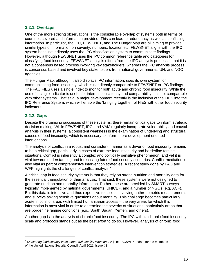### **3.2.1. Overlaps**

<span id="page-16-0"></span>One of the more striking observations is the considerable overlap of systems both in terms of countries covered and information provided. This can lead to redundancy as well as conflicting information. In particular, the IPC, FEWSNET, and The Hunger Map are all aiming to provide similar types of information on severity, numbers, location etc. FEWSNET aligns with the IPC system because it directly uses the IPC classification system to communicate findings. However, although FEWSNET uses the IPC common reference table and categories for classifying food insecurity, FEWSNET analysis differs from the IPC analysis process in that it is not a consensus based process involving key stakeholders; whereas the IPC analysis process is consensus based and involved key stakeholders from national governments, UN, and NGO agencies.

The Hunger Map, although it also displays IPC information, uses its own system for communicating food insecurity, which is not directly comparable to FEWSNET or IPC findings. The FAO FIES uses a single index to monitor both acute and chronic food insecurity. While the use of a single indicator is useful for internal consistency and comparability, it is not comparable with other systems. That said, a major development recently is the inclusion of the FIES into the IPC Reference System, which will enable the 'bringing together' of FIES with other food security indicators.

### **3.2.2. Gaps**

<span id="page-16-1"></span>Despite the promising successes of these systems, there remain critical gaps to inform strategic decision making. While FEWSNET, IPC, and VAM regularly incorporate vulnerability and causal analysis in their systems, a consistent weakness is the examination of underlying and structural causes of food insecurity, which is necessary to inform more development oriented interventions.

The analysis of conflict in a robust and consistent manner as a driver of food insecurity remains to be a critical gap, particularly in cases of extreme food insecurity and borderline famine situations. Conflict is inherently a complex and politically sensitive phenomenon, and yet it is vital towards understanding and forecasting future food security scenarios. Conflict mediation is also vital as part of comprehensive intervention strategies. A recent study done by FAO and WFP highlights the challenges of conflict analysis <sup>3</sup>

A critical gap in food security systems is that they rely on strong nutrition and mortality data for the essential triangulation of their analysis. That said, these systems were not designed to generate nutrition and mortality information. Rather, these are provided by SMART surveys typically implemented by national governments, UNICEF, and a number of NGOs (e.g, ACF). But this data is intensive and thus expensive to collect, involving anthropometric measurements and surveys asking sensitive questions about mortality. This challenge becomes particularly acute in conflict areas with limited humanitarian access – the very areas for which this information is most vital in order to determine the severity of situations, particularly areas that are borderline famine conditions (e.g., South Sudan, Yemen, and others).

Another gap is in the analysis of chronic food insecurity. The IPC with its chronic food insecurity scale and protocols stands out as the best effort to do so. However, analysis of chronic food

<sup>&</sup>lt;sup>3</sup> Monitoring food security in countries with conflict situations. A joint FAO/WFP update for the members of the United Nations Security Council. April 2021. Issue #8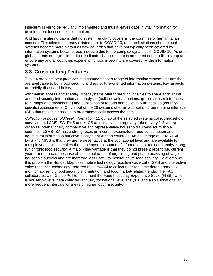insecurity is yet to be regularly implemented and thus it leaves gaps in vital information for development focused decision makers.

And lastly, a glaring gap is that no system regularly covers all the countries of humanitarian concern. This dilemma already existed prior to COVID-19, and the limitations of the global systems became more blatant as new countries that have not typically been covered by information systems became food insecure due to the complex dynamics of COVID-19. As other global threats emerge – in particular climate change - there is an urgent need to fill this gap and ensure any and all countries experiencing food insecurity are covered by the information systems.

# **3.3. Cross-cutting Features**

Table 4 presents best practices and comments for a range of information system features that are applicable to both food security and agriculture-oriented information systems. Key aspects are briefly discussed below.

<span id="page-17-0"></span>*Information access and sharing.* Most systems offer three functionalities to share agricultural and food security information and analysis: (bulk) download options, graphical user interfaces (e.g. maps and dashboards) and publication of reports and bulletins with detailed (countryspecific) assessments. Only 9 out of the 26 systems offer an application programming interface (API) that makes it possible to programmatically access the data.

*Collection of household level information.* 11 out 26 of the selected systems collect household survey data. LSMS-ISA, DHS and MICS are initiatives to regularly (often every 2-3 years) organize internationally comparative and representative household surveys for multiple countries. LSMS-ISA has a strong focus on income, expenditure, food consumption and agricultural information but covers only eight African countries. An advantage of LSMS-ISA, DHS and MICS is that they are representative at the subnational level and are available for multiple years, which makes them an important source of information to track and analyze longrun chronic food security. A major disadvantage is that they do not present recent (i.e. current year or month) data because of the complexities of organizing and post processing of large household surveys and are therefore less useful to monitor acute food security. To overcome this problem the Hunger Map uses mobile technology (e.g. live voice calls, SMS and interactive voice response technology) referred to as mVAM to collect near real-time data to remotely monitor household food security and nutrition, and food market-related trends. The FAO collaborates with Gallup Poll to implement the Food Insecurity Experience Scale (FIES), which is household level data collected annually for national level analysis, and also subnational at more frequent intervals for areas of higher food insecurity.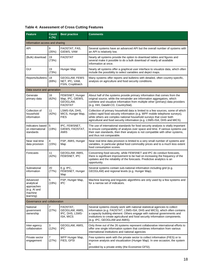<span id="page-18-0"></span>

| <b>Feature</b>                                                               | <b>Count</b><br>$n$ (%) | <b>Best practice</b>                                              | <b>Comments</b>                                                                                                                                                                                                                                                                                                                                      |
|------------------------------------------------------------------------------|-------------------------|-------------------------------------------------------------------|------------------------------------------------------------------------------------------------------------------------------------------------------------------------------------------------------------------------------------------------------------------------------------------------------------------------------------------------------|
| Information access and sharing                                               |                         |                                                                   |                                                                                                                                                                                                                                                                                                                                                      |
| API                                                                          | 9<br>(35%)              | FAOSTAT, FAS,<br>GIEWS, VAM                                       | Several systems have an advanced API but the overall number of systems with<br>an API is relatively low.                                                                                                                                                                                                                                             |
| (Bulk) download                                                              | 19<br>(73%)             | <b>FAOSTAT</b>                                                    | Nearly all systems provide the option to download tables and figures and<br>several make it possible to do a bulk download of nearly all available<br>information at once.                                                                                                                                                                           |
| <b>GUI</b>                                                                   | 19<br>(73%)             | Hunger Map                                                        | Nearly all systems offer a graphical user interface to visualize data, which often<br>include the possibility to select variables and depict maps.                                                                                                                                                                                                   |
| Reports/bulletins                                                            | 18<br>(69%)             | <b>GEOGLAM, FEWS</b><br>NET, IPC, VAM,<br>FSIN, CropWatch         | Many systems offer reports and bulletins with detailed, often country-specific,<br>analysis on agriculture and food security conditions.                                                                                                                                                                                                             |
| Data source and generation                                                   |                         |                                                                   |                                                                                                                                                                                                                                                                                                                                                      |
| Generate<br>primary data                                                     | 16<br>(62%)             | FEWSNET, Hunger<br>Map, IPC, GIEWS,<br>GEOGLAM.<br><b>FAOSTAT</b> | About half of the systems provide primary information that comes from the<br>original source, while the remainder are information aggregators, which<br>combine and visualize information from multiple other (primary) data providers<br>(e.g. HiH, DataM-CD, CountryStat).                                                                         |
| Collection of<br>household<br>information                                    | 11<br>(42%)             | LSMS-ISA, DHS,<br>MICS, Hunger Map,<br>FIES                       | Collection of primary household data is limited to a few sources, some of which<br>collect rapid food security information (e.g. WPF mobile telephone surveys),<br>while others are complex national household surveys that cover both<br>agricultural and food security information (e.g. LSMS-ISA, DHS and MICS).                                  |
| Indicators based<br>on international<br>standards                            | 5<br>(19%)              | IPC, FEWSNET,<br>GIEWS, FAOSTAT,<br>AMIS                          | The use of international standards for food security analysis is vitally important<br>to ensure comparability of analysis over space and time. If various systems use<br>their own standards, then their analysis is not compatible with other systems,<br>and thus not comparable.                                                                  |
| Near real-time<br>data provision                                             | 4<br>(15%)              | FSP, AMIS, Hunger<br>Map                                          | Near real-time data provision is limited to a very small number of systems and<br>variables, in particular global food commodity prices and to a much less extent<br>food consumption scores.                                                                                                                                                        |
| Forecasts                                                                    | 11<br>(42%)             | GEOGLAM, AMIS,<br>FEWSNET, IPC                                    | Concerning food security, while FEWSNET and IPC do conduct forecasts,<br>there is significant improvement to be had on increasing the frequency of the<br>updates and the reliability of the forecasts. Predictive analytics is an<br>opportunity.                                                                                                   |
| Subnational<br>information                                                   | 20<br>(77%)             | E.g. IPC,<br>FEWSNET, Hunger<br>Map                               | Several systems contain sub-national information including grid (e.g.<br>GEOGLAM) and regional levels (e.g. Hunger Map).                                                                                                                                                                                                                             |
| Advanced<br>analytical<br>approaches<br>(e.g. AI and<br>machine<br>learning) | 5<br>(19%)              | FSP, Hunger Map,<br>IPC                                           | Machine learning and linguistic algorithms are only used by a few systems and<br>for a narrow set of indicators.                                                                                                                                                                                                                                     |
| Governance and collaboration                                                 |                         |                                                                   |                                                                                                                                                                                                                                                                                                                                                      |
| National<br>government<br>ownership                                          | 7<br>(27%)              | FAOSTAT,<br>GEOGLAM, AMIS,<br>IPC, DHS, LSMS-<br>ISA, MICS        | Several systems closely work with national statistical agencies to collect<br>information (e.g. FAOSTAT, LSMS-ISA, DHS and MICS), which often contains<br>a capacity building element. Others engage with national governments and<br>institutions to create agricultural and food security information components.<br>(e.g. IPC, GEOGLAM and AMIS). |
| Inter-agency<br>collaboration                                                | 3<br>(12%)              | GEOGLAM, AMIS,<br>IPC.                                            | Only three out of the 26 systems represent collaborative international efforts to<br>offer one single information system that combines information from various<br>international institutions and national agencies                                                                                                                                  |
| Private sector<br>engagement                                                 | $\overline{7}$<br>(27%) | WFP Hunger Map,<br>FIES, GFSI                                     | Few systems work with the private sector to collect information (FIES) or to<br>improve analysis and visualization (Hunger Map). In one occasion, the system<br>is<br>provided by a private entity (the Economist GFSI).                                                                                                                             |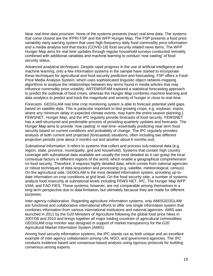*Near real-time data provision.* None of the systems presents (near) real-time data. The systems that come closest are the IFPRI FSP and the WFP Hunger Map. The FSP presents a food price variability early warning system that uses high-frequency daily food commodity price information and a media analysis tool that tracks (COVID-19) food security related news items. The WFP Hunger Map aims for real time updates through regular household surveys conducted remotely combined with additional variables and machine learning to conduct 'now casting' of food security status.

*Advanced analytical techniques.* Despite rapid progress in the use of artificial intelligence and machine learning, only a few information systems in the sample have started to incorporate these techniques for agricultural and food security prediction and forecasting. FSP offers a Food Price Media Analysis System, which uses sophisticated linguistic object network-mapping algorithms to analyze the relationships between key terms found in media articles that may influence commodity price volatility. ARTEMIS/FAM explored a statistical forecasting approach to predict the outbreak of food crises, whereas the Hunger Map combines machine learning and data analytics to predict and track the magnitude and severity of hunger in close to real-time.

*Forecasts.* GEOGLAM real time crop monitoring system is able to forecast potential yield gaps based on satellite data. This is particular important to fast growing crops, e.g. soybean, maize, where any minimum delay in expected climate events, may harm the entire season planning.), FEWSNET, Hunger Map, and the IPC regularly provide forecasts of food security. FEWSNET has a well-structured and predictable process of providing quarterly updates and forecasts. The Hunger Map aims to provide 'now casting' in real time--essentially predicting near term food security based on current conditions and probability of change. The IPC regularly provides analysis of both current and projected (forecasted) situations, often including two different projection periods (one about 3 months out and another about 6 months out).

*Subnational information.* It refers to systems that collect and process sub-national data (e.g. region, state, province, municipality, grid and household). Systems that contain high country coverage with subnational data available are usually the most detailed as it can grasp the local contextual factors in different regions of the world, which enable a geographical comprehension on food security. Therefore, it requires highly detailed data, which comes from national agencies or robust techniques of data acquisition and processing (e.g. satellite, meteorological, census). On the agricultural side, GEOGLAM is the most detailed information system, providing up-todate information on crop conditions at grid level. On the food security side, a number of systems analyze food insecurity at subnational levels including FEWS NET, IPC, The Hunger Map WFP VAM, and FAO FIES. These systems, however, are not comparable among themselves in a long-term perspective due to data limitation, but ultimately because they are made for different purposes.

*Inter-agency collaboration.* Regarding agriculture information systems, only AMISGEOGLAM are functional and collaborative international efforts to offer one single information system that combines information from various international institutions and national agencies. AMIS was launched in 2011 by the G20 Ministers of Agriculture following the global food price hikes in 2007/08 and 2010 and brings together all major trading countries of agricultural commodities. GEOGLAM crop monitor was designed in support of market transparency for the G20 Agricultural Market Information System (AMIS).

Among food security information systems, the IPC stands out as both unique and an excellent example of inter-agency collaboration among UN, NGO, and government agencies. The IPC conducts evidence based and consensus-based analysis using rigorous protocols for building consensus among experts.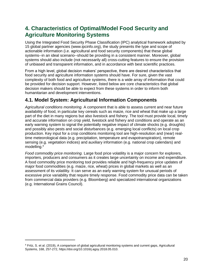# **4. Characteristics of Optimal/Model Food Security and Agriculture Monitoring Systems**

<span id="page-20-0"></span>Using the Integrated Food Security Phase Classification (IPC) analytical framework adopted by 15 global partner agencies (www.ipcinfo.org), the study presents the type and scope of actionable information (i.e. agricultural and food security components) that these global systems--in an ideal scenario--should be providing in a consistent manner. Moreover, global systems should also include (not necessarily all) cross-cutting features to ensure the provision of unbiased and transparent information, and in accordance with best scientific practices.

From a high level, global decision makers' perspective, there are desired characteristics that food security and agriculture information systems should have. For sure, given the vast complexity of both food and agriculture systems, there is a wide array of information that could be provided for decision support. However, listed below are core characteristics that global decision makers should be able to expect from these systems in order to inform both humanitarian and development interventions.

# **4.1. Model System: Agricultural Information Components**

<span id="page-20-1"></span>*Agricultural conditions monitoring.* A component that is able to assess current and near future availability of food, in particular key cereals such as maize, rice and wheat that make up a large part of the diet in many regions but also livestock and fishery. The tool must provide local, timely and accurate information on crop yield, livestock and fishery and conditions and operate as an early warning system to signal the potentially negative impact of climate shocks (e.g. droughts) and possibly also pests and social disturbances (e.g. emerging local conflicts) on local crop production. Key input for a crop conditions monitoring tool are high-resolution and (near) realtime meteorological data (e.g. precipitation, temperature and evapotranspiration), remote sensing (e.g. vegetation indices) and auxiliary information (e.g. national crop calendars) and modelling.<sup>4</sup>

*Food commodity price monitoring.* Large food price volatility is a major concern for explorers, importers, producers and consumers as it creates large uncertainty on income and expenditure. A food commodity price monitoring tool provides reliable and high-frequency price updates of major food commodities (e.g. maize, rice, wheat) prices in global markets as well as an assessment of its volatility. It can serve as an early warning system for unusual periods of excessive price variability that require timely response. Food commodity price data can be taken from commercial data providers (e.g. Bloomberg) and specialized international organizations (e.g. International Grains Council).

 $\overline{a}$ 

<sup>4</sup> Fritz, S. et al. (2019), A comparison of global agricultural monitoring systems and current gaps, Agricultural Systems, 168, 257-272, https://doi.org/10.1016/j.agsy.2018.05.010.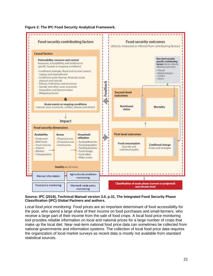<span id="page-21-0"></span>



#### **Source: IPC (2019), Technical Manual version 3.0, p.31, The Integrated Food Security Phase Classification (IPC) Global Partners and authors.**

*Local food price monitoring.* Food prices are an important determinant of food accessibility for the poor, who spend a large share of their income on food purchases and small-farmers, who receive a large part of their income from the sale of food crops. A local food price monitoring tool provides reliable information on local and national prices for a large number of crops that make up the local diet. Near real-term national food price data can sometimes be collected from national governments and information systems. The collection of local food price data requires the organization of local market surveys as recent data is mostly not available from standard statistical sources.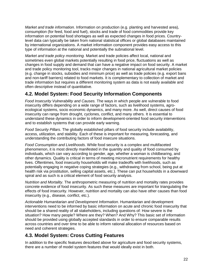*Market and trade information.* Information on production (e.g. planting and harvested area), consumption (for feed, food and fuel), stocks and trade of food commodities provide key information on potential food shortages as well as expected changes in food prices. Countrylevel data can typically be taken from national statistical offices or global databases maintained by international organizations. A market information component provides easy access to this type of information at the national and potentially the subnational level.

*Market and trade policy monitoring.* Market and trade policies affect local, national and sometimes even global markets potentially resulting in food price, fluctuations as well as changes in food supply and demand that can have a negative impact on food security. A market and trade policy monitoring tool, tracks major changes in national agricultural market policies (e.g. change in stocks, subsidies and minimum price) as well as trade policies (e.g. export bans and non-tariff barriers) related to food markets. It is complementary to collection of market and trade information but requires a different monitoring system as data is not easily available and often descriptive instead of quantitative.

# **4.2. Model System: Food Security Information Components**

<span id="page-22-0"></span>*Food Insecurity Vulnerability and Causes.* The ways in which people are vulnerable to food insecurity differs depending on a wide range of factors, such as livelihood systems, agroecological systems, socio economic dynamics, and many more. As well, direct causes of food insecurity can range from drought, cyclones, conflict, and many others. It is essential to understand these dynamics in order to inform development-oriented food security interventions and to establish systems that can provide early warning.

*Food Security Pillars*. The globally established pillars of food security include availability, access, utilization, and stability. Each of these is important for measuring, forecasting, and understanding the contributing factors of food insecure situations.

*Food Consumption and Livelihoods*. While food security is a complex and multifaceted phenomenon, it is most directly manifested in the quantity and quality of food consumed by individuals, which can vary according to gender, age, whether a woman is childbearing, and other dynamics. Quality is critical in terms of meeting micronutrient requirements for healthy lives. Oftentimes, food insecurity households will make tradeoffs with livelihoods, such as potentially engaging in negative coping strategies (e.g., withdrawing from school, being put at health risk via prostitution, selling capital assets, etc.). These can put households in a downward spiral and as such is a critical element of food security analysis.

*Nutrition and Mortality*. The anthropometric measuring of nutrition and mortality rates provides concrete evidence of food insecurity. As such these measures are important for triangulating the effects of food insecurity. However, nutrition and mortality can also have other causes than food insecurity (e.g., disease, conflict, etc.).

*Actionable Humanitarian and Development Information*. Humanitarian and development interventions need to be informed by basic information on acute and chronic food insecurity that should be a shared reality of all stakeholders, including questions of: How severe is the situation? How many people? Where are they? When? And Why? This basic set of information should be provided using globally accepted standards in order to ensure comparable results across countries and over time to be able to inform rational allocation of resources based on need and coherent strategies.

# **4.3. Model System: Cross Cutting Features**

<span id="page-22-1"></span>In addition to the specific features described above for agriculture and food security systems, there are a number of model system features that would ideally exist in both.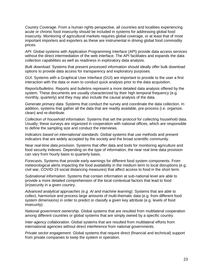*Country Coverage.* From a human rights perspective, all countries and localities experiencing acute or chronic food insecurity should be included in systems for addressing global food insecurity. Monitoring of agricultural markets requires global coverage, or at least that of most important importers and exporters as these are instrumental in driving global food commodity prices.

*API*. Global systems with Application Programming Interface (API) provide data access services without the direct intermediation of the web interface. The API facilitates and expands the data collection capabilities as well as readiness in exploratory data analysis.

*Bulk download*. Systems that present processed information should ideally offer bulk download options to provide data access for transparency and exploratory purposes.

*GUI*. Systems with a Graphical User Interface (GUI) are important to provide to the user a first interaction with the data or even to conduct quick analysis prior to the data acquisition.

*Reports/bulletins*. Reports and bulletins represent a more detailed data analysis offered by the system. These documents are usually characterized by their high temporal frequency (e.g. monthly, quarterly) and they may also include the causal analysis of the data.

*Generate primary data*. Systems that conduct the survey and coordinate the data collection. In addition, systems that gather all the data that are readily available, pre-process (i.e. organize, clean) and re-distribute.

*Collection of household information*. Systems that set the protocol for collecting household data. Usually, these surveys are organized in cooperation with national offices, which are responsible to define the sampling size and conduct the interviews.

*Indicators based on international standards*. Global systems that use methods and present indicators that are widely accepted by the society and the broad scientific community.

*Near real-time data provision*. Systems that offer data and tools for monitoring agriculture and food security indexes. Depending on the type of information, the near real time data provision can vary from hourly basis to quarterly basis.

*Forecasts*. Systems that provide early warnings for different food system components. From meteorological alerts impacting the food availability in the medium term to local disruptions (e.g. civil war, COVID-19 social distancing measures) that affect access to food in the short term.

*Subnational information*. Systems that contain information at sub-national level are able to provide a more detailed comprehension of the local contextual factors that lead to food (in)security in a given country.

*Advanced analytical approaches (e.g. AI and machine learning)*. Systems that are able to collect, harmonize and process large amounts of multi-thematic data (e.g. from different food system dimensions) in order to predict or classify a given key attribute (e.g. levels of food insecurity).

*National government ownership*. Global systems that are resulted from multilateral cooperation among different countries or global systems that are simply owned by a specific country.

*Inter-agency collaboration*. Global systems that are resulted from multilateral efforts from international agencies without direct interference from national governments.

*Private sector engagement*. Global systems that require direct (financial and technical) support from private companies to keep the system in operation.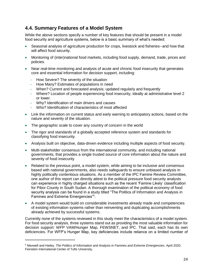### **4.4. Summary Features of a Model System**

While the above sections specify a number of key features that should be present in a model food security and agriculture systems, below is a basic summary of what's needed:

- <span id="page-24-0"></span>• Seasonal analysis of agriculture production for crops, livestock and fisheries--and how that will affect food security.
- Monitoring of (inter)national food markets, including food supply, demand, trade, prices and policies.
- Near real-time monitoring and analysis of acute and chronic food insecurity that generates core and essential information for decision support, including:
	- − How Severe? The severity of the situation

 $\overline{a}$ 

- − How Many? Estimates of populations in need
- − When? Current and forecasted analysis; updated regularly and frequently
- − Where? Location of people experiencing food insecurity, ideally at administrative level 2 or lower.
- − Why? Identification of main drivers and causes
- − Who? Identification of characteristics of most affected
- Link the information on current status and early warning to anticipatory actions, based on the nature and severity of the situation.
- The geographic scale to cover any country of concern in the world
- The rigor and standards of a globally accepted reference system and standards for classifying food insecurity.
- Analysis built on objective, data-driven evidence including multiple aspects of food security.
- Multi-stakeholder consensus from the international community, and including national governments, that provides a single trusted source of core information about the nature and severity of food insecurity
- Related to the previous point, a model system, while aiming to be inclusive and consensus based with national governments, also needs safeguards to ensure unbiased analysis in highly politically contentious situations. As a member of the IPC Famine Review Committee, one author of this report can directly attest to the political pressure food security analysts can experience in highly charged situations such as the recent 'Famine Likely' classification for Pibor County in South Sudan. A thorough examination of the political economy of food security analysis can be found in a study titled "The Politics of Information and Analysis in Famines and Extreme Emergencies"<sup>5</sup>.
- A model system would build on considerable investments already made and competencies of existing information systems rather than reinventing and duplicating accomplishments already achieved by successful systems.

Currently none of the systems reviewed in this study meet the characteristics of a model system. For food security analysis, three systems stand out as providing the most valuable information for decision support: WFP VAM/Hunger Map, FEWSNET, and IPC. That said, each has its own deficiencies. For WFP's Hunger Map, key deficiencies include reliance on a limited number of

<sup>5</sup> Maxwell and Hailey. *The Politics of Information and Analysis in Famines and Extreme Emergencies*. April 2020. Feinstein International Center of Tufts University.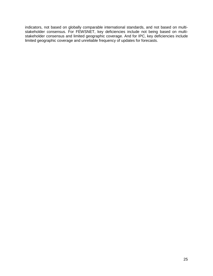indicators, not based on globally comparable international standards, and not based on multistakeholder consensus. For FEWSNET, key deficiencies include not being based on multistakeholder consensus and limited geographic coverage. And for IPC, key deficiencies include limited geographic coverage and unreliable frequency of updates for forecasts.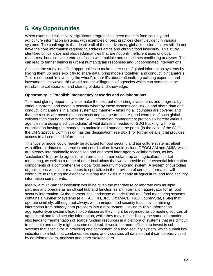# **5. Key Opportunities**

<span id="page-26-0"></span>When examined collectively, significant progress has been made in food security and agriculture information systems, with examples of best practices clearly evident in various systems. The challenge is that despite all of these advances, global decision makers still do not have the core information required to address acute and chronic food insecurity. This study identified critical gaps and also redundancies that are not only inefficient uses of global resources, but also can create confusion with multiple and sometimes conflicting analyses. This can lead to further delays in urgent humanitarian responses and uncoordinated interventions.

As such, the study identified opportunities to make better use of global information systems by linking them up more explicitly to share data, bring models together, and conduct joint analysis. This is not about 'reinventing the wheel', rather it's about rationalizing existing expertise and investments. However, this would require willingness of agencies which can sometimes be resistant to collaboration and sharing of data and knowledge.

#### **Opportunity 1: Establish inter-agency networks and collaborations**

The most glaring opportunity is to make the best out of existing investments and progress by various systems and create a network whereby these systems can link up and share data and conduct joint analysis in a more systematic manner – ensuring all countries are covered and that the results are based on consensus and can be trusted. A good example of such global collaboration can be found with the SDG information management protocols whereby various agencies are designated 'custodians' of vital datasets needed for SDG tracking, with one organization having the mandate to maintain and manage the portal (in the case of the SDGs the UN Statistical Commission has this designation, see Box 1 for further details) that provides access to all combined information.

This type of model could readily be adapted for food security and agriculture systems, albeit with different datasets, agencies and coordination. It would include GEOGLAM and AMIS, which are already internationally recognized and endorsed inter-agency collaborations, as key 'custodians' to provide agricultural information, in particular crop and agricultural market monitoring, as well as a range of other institutions that would provide other essential information components of a comprehensive global food security monitoring system. A system of custodian organizations with clear mandates to specialize in the provision of certain information will contribute to reducing the extensive overlap that exists in nearly all agricultural and food security information components.

Ideally, a multi-partner institution would be given the mandate to collaborate with multiple partners and operate as an official hub and function as an information aggregator for all food security information. At the moment, the landscape of agricultural and food monitoring systems contains a number of systems (e.g. FAO HiH, JRC DataM-CD, FAO CountryStat, FSIN) that operate similarly, although not always with a unique food security focus, by combining information from primary data providers into a new system. Having multiple information aggregator-type systems leads to confusion as they might be regarded as competing sources of agricultural and food security information, while they may in fact display the same information. It also leads to fragmentation of scarce funding resources in a plethora of systems that are difficult to maintain and easily might become outdated. It would be more efficient to invest in subsystems that specialize in providing one component of a food security system, which submit key indicators to a hub that combines, reshapes and visualizes all data so that it can be easily used by decision makers, analysts and other stakeholders.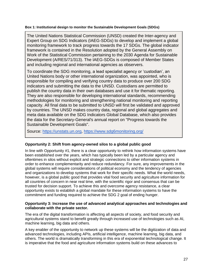#### **Box 1: Institutional design to monitor the Sustainable Development Goals (SDGs)**

The United Nations Statistical Commission (UNSD) created the Inter-agency and Expert Group on SDG Indicators (IAEG-SDGs) to develop and implement a global monitoring framework to track progress towards the 17 SDGs. The global indicator framework is contained in the Resolution adopted by the General Assembly on Work of the Statistical Commission pertaining to the 2030 Agenda for Sustainable Development (A/RES/71/313). The IAEG-SDGs is composed of Member States and including regional and international agencies as observers.

To coordinate the SDG monitoring, a lead specialist agency or 'custodian', an United Nations body or other international organization, was appointed, who is responsible for compiling and verifying country data to produce over 200 SDG indicators and submitting the data to the UNSD. Custodians are permitted to publish the country data in their own databases and use it for thematic reporting. They are also responsible for developing international standards, recommending methodologies for monitoring and strengthening national monitoring and reporting capacity. All final data to be submitted to UNSD will first be validated and approved by countries. The UNSD makes country data, regional and global aggregates and meta data available on the SDG Indicators Global Database, which also provides the data for the Secretary-General's annual report on "Progress towards the Sustainable Development Goals".

Source: [https://unstats.un.org,](https://unstats.un.org/) <https://www.sdg6monitoring.org/>

### **Opportunity 2: Shift from agency-owned silos to a global public good**

In line with Opportunity #1, there is a clear opportunity to rethink how information systems have been established over the years, which has typically been led by a particular agency and oftentimes in silos without explicit and strategic connections to other information systems in order to enhance complementarity and reduce redundancy. For sure, any improvements in the global systems will require considerations of political economy and the tendency of agencies and organizations to develop systems that work for their specific needs. What the world needs, however, is a global public good that provides vital food security and agriculture information for all countries of concern in near real time, with the scientific rigor and consensus that can be trusted for decision support. To achieve this and overcome agency resistance, a clear opportunity exists to establish a global mandate for these information systems to have the commitment and funding required to achieve the SDG 2 goal of ending hunger.

#### **Opportunity 3: Increase the use of advanced analytical approaches and technologies and collaborate with the private sector.**

The era of the digital transformation is affecting all aspects of society, and food security and agricultural systems stand to benefit greatly through increased use of technologies such as AI, machine learning, big data and others.

A key enabler of the opportunity to network up these systems will be the digitization of data and advanced technologies, including APIs, artificial intelligence, machine learning, big data, and others. The world is dramatically transforming in this era of exponential technological change. It is imperative that the food and agriculture information systems build on these advances to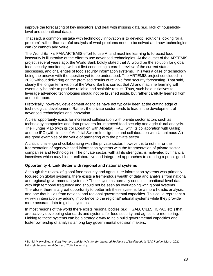improve the forecasting of key indicators and deal with missing data (e.g. lack of householdlevel and subnational data).

That said, a common mistake with technology innovation is to develop 'solutions looking for a problem', rather than careful analysis of what problems need to be solved and how technologies can (or cannot) add value.

The World Bank's FAM/ARTEMIS effort to use AI and machine learning to forecast food insecurity is illustrative of the effort to use advanced technologies. At the outset of the ARTEMIS project several years ago, the World Bank boldly stated that AI would be the solution for global food security monitoring, without first conducting a careful review of the current status, successes, and challenges of food security information systems. This was a case of technology being the answer with the question yet to be understood. The ARTEMIS project concluded in 2020 without delivering on the promised results of reliable food security forecasting. That said, clearly the longer term vision of the World Bank is correct that AI and machine learning will eventually be able to produce reliable and scalable results. Thus, such bold initiatives to leverage advanced technologies should not be brushed aside, but rather carefully learned from and built upon.

Historically, however, development agencies have not typically been at the cutting edge of technological development. Rather, the private sector tends to lead in the development of advanced technologies and innovation.

A clear opportunity exists for increased collaboration with private sector actors such as technology companies and data providers for improved food security and agricultural analysis. The Hunger Map (with its collaboration with Alibaba), FAO (with its collaboration with Gallup), and the IPC (with its use of Artificial Swarm Intelligence and collaboration with Unanimous AI) are good examples of the value of partnering with the private sector.

A critical challenge of collaborating with the private sector, however, is to not mirror the fragmentation of agency-based information systems with the fragmentation of private sector companies and technologies. The private sector, with all its strengths, is motivated by financial incentives which may hinder collaborative and integrated approaches to creating a public good.

### **Opportunity 4: Link Better with regional and national systems**

 $\overline{a}$ 

Although this review of global food security and agriculture information systems was primarily focused on global systems, there exists a tremendous wealth of data and analysis from national and regional governmental systems.<sup>6</sup> These systems normally contain subnational level data with high temporal frequency and should not be seen as overlapping with global systems. Therefore, there is a great opportunity to better link these systems for a more holistic analysis, and one that builds from national and regional governmental capacities. This could represent a win-win integration by adding importance to the regional/national systems while they provide more accurate data to global systems.

In most regions of the world there exists regional bodies (e.g., IGAD, CILLS, ICPAC etc.) that are actively developing standards and systems for food security and agriculture monitoring. Linking to these systems can be a strategic way to help build governmental capacities and foster ownership of analysis among key governmental decision makers.

<sup>6</sup> Daniel Maxwell et. al. *Early Warning and Early Action for Increased Resilience of Livelihoods in IGAD Region*. March 2021. Feinstein International Center of Tufts University.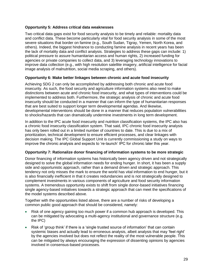#### **Opportunity 5: Address critical data weaknesses**

Two critical data gaps exist for food security analysis to be timely and reliable: mortality data and conflict data. These become particularly vital for food security analysis in some of the most severe situations that border on famine (e.g., South Sudan, Tigray, Yemen, North Korea, and others). Indeed, the biggest hindrance to conducting famine analysis in recent years has been the lack of mortality data and conflict analysis. Strategies to address these gaps can include: 1) political pressure to assure humanitarian access and human rights, 2) increased funding for agencies or private companies to collect data, and 3) leveraging technology innovations to improve data collection (e.g., with high resolution satellite imagery, artificial intelligence for facial image analysis of malnutrition, social media scraping, and others).

#### **Opportunity 6: Make better linkages between chronic and acute food insecurity**

Achieving SDG 2 can only be accomplished by addressing both chronic and acute food insecurity. As such, the food security and agriculture information systems also need to make distinctions between acute and chronic food insecurity, and what types of interventions could be implemented to address both. Furthermore, the strategic analysis of chronic and acute food insecurity should be conducted in a manner that can inform the type of humanitarian responses that are best suited to support longer term developmental agendas. And likewise, developmental interventions should be done in a manner that reduces population vulnerabilities to shocks/hazards that can dramatically undermine investments in long term development.

In addition to the IPC acute food insecurity and nutrition classification systems, the IPC also has a chronic food insecurity classification system. That said, IPC chronic food insecurity analysis has only been rolled out in a limited number of countries to date. This is due to a mix of prioritization, technical development to ensure efficient processes, and clear linkages with decision making. The IPC Global Support Unit is currently commissioning a study on ways to improve the chronic analysis and expects to 're-launch' IPC for chronic later this year.

#### **Opportunity 7: Rationalize donor financing of information systems to be more strategic**

Donor financing of information systems has historically been agency driven and not strategically designed to solve the global information needs for ending hunger. In short, it has been a supply side and opportunistic approach, rather than a demand driven and strategic approach. This tendency not only misses the mark to ensure the world has vital information to end hunger, but it is also financially inefficient in that it creates redundancies and is not strategically designed to complement investments in various components of agriculture and food security information systems. A tremendous opportunity exists to shift from single donor-based initiatives financing single agency-based initiatives towards a strategic approach that can meet the specifications of the model systems described above.

Together with the opportunities listed above, there are a number of risks of developing a common public good approach that should be considered, namely:

- Risk of one agency gaining too much power if a common hub approach is developed. This can be mitigated by advocating a multi-agency institutional and governance structure (e.g. the IPC)
- Risk of 'group think' if there is a 'single trusted source of information' that can contain systemic biases and actually lead to erroneous analysis, albeit analysis that may 'feel right' by the agencies involved but does not reflect the reality of the most vulnerable people. This can be mitigated by always encouraging the expression of dissenting opinions by agencies involved in consensus-based processes.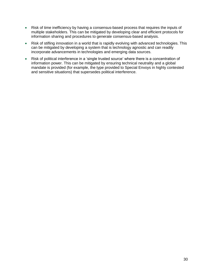- Risk of time inefficiency by having a consensus-based process that requires the inputs of multiple stakeholders. This can be mitigated by developing clear and efficient protocols for information sharing and procedures to generate consensus-based analysis.
- Risk of stifling innovation in a world that is rapidly evolving with advanced technologies. This can be mitigated by developing a system that is technology agnostic and can readily incorporate advancements in technologies and emerging data sources.
- Risk of political interference in a 'single trusted source' where there is a concentration of information power. This can be mitigated by ensuring technical neutrality and a global mandate is provided (for example, the type provided to Special Envoys in highly contested and sensitive situations) that supersedes political interference.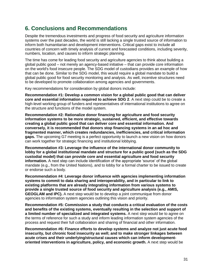# **6. Conclusions and Recommendations**

<span id="page-31-0"></span>Despite the tremendous investments and progress of food security and agriculture information systems over the past decades, the world is still lacking a single trusted source of information to inform both humanitarian and development interventions. Critical gaps exist to include all countries of concern with timely analysis of current and forecasted conditions, including severity, numbers, location, and causes to inform strategic planning.

The time has come for leading food security and agriculture agencies to think about building a global public good – not merely an agency-based initiative – that can provide core information on the world's food insecure people. The SDG model of custodians provides an example of how that can be done. Similar to the SDG model, this would require a global mandate to build a global public good for food security monitoring and analysis. As well, incentive structures need to be developed to promote collaboration among agencies and governments.

Key recommendations for consideration by global donors include:

**Recommendation #1: Develop a common vision for a global public good that can deliver core and essential information required to achieve SDG 2**. A next step could be to create a high-level working group of funders and representatives of international institutions to agree on the structure and functions of the model system.

**Recommendation #2: Rationalize donor financing for agriculture and food security information systems to be more strategic, sustained, efficient, and effective towards creating a global public good that can deliver core and essential information. And conversely, it is recommended that donors stop financing systems in an ad hoc and fragmented manner, which creates redundancies, inefficiencies, and critical information gaps.** The upcoming G7 meeting is a perfect opportunity to launch a new vision on how donors can work together for strategic financing and institutional lobbying.

**Recommendation #3: Leverage the influence of the international donor community to lobby for a global institutional mandate and structure for a public good (such as the SDG custodial model) that can provide core and essential agriculture and food security information.** A next step can include identification of the appropriate 'source' of the global mandate (e.g., from the United Nations), and to lobby for a formal charter to be issued to create or endorse such a body.

**Recommendation #4**: **Leverage donor influence with agencies implementing information systems to commit to data sharing and interoperability, and in particular to link to existing platforms that are already integrating information from various systems to provide a single trusted source of food security and agriculture analysis (e.g., AMIS, GEOGLAM and IPC).** A next step would be to develop a joint communique from donor agencies to information system agencies outlining this vision and priority.

**Recommendation #5: Commission a study that conducts a critical evaluation of the costs and benefits of the existing systems, eventually resulting in the selection and support of a limited number of specialized and integrated systems.** A next step would be to agree on the terms of reference for such a study and inform leading information system agencies of the process and request their full collaboration and sharing of financial and other information.

**Recommendation #6: Finance efforts to develop systems and analyze not just acute food insecurity, but chronic food insecurity as well; and to make stronger linkages between acute crises and their underlying/structural causes which can inform developmentoriented interventions in agriculture, policy, and economic growth.** A next step would be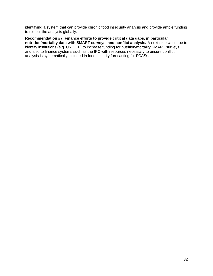identifying a system that can provide chronic food insecurity analysis and provide ample funding to roll out the analysis globally.

**Recommendation #7. Finance efforts to provide critical data gaps, in particular nutrition/mortality data with SMART surveys, and conflict analysis.** A next step would be to identify institutions (e.g. UNICEF) to increase funding for nutrition/mortality SMART surveys, and also to finance systems such as the IPC with resources necessary to ensure conflict analysis is systematically included in food security forecasting for FCASs.